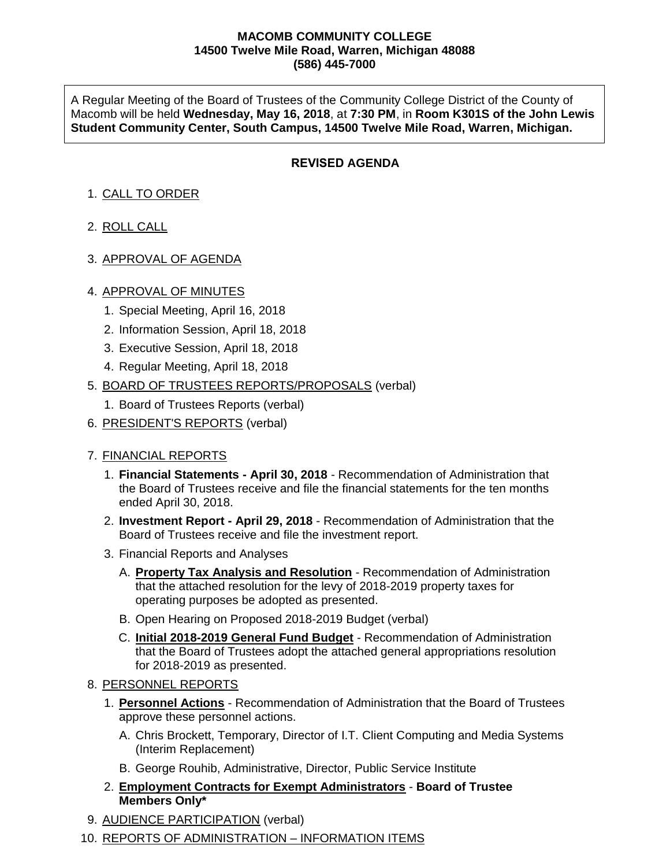### **MACOMB COMMUNITY COLLEGE 14500 Twelve Mile Road, Warren, Michigan 48088 (586) 445-7000**

A Regular Meeting of the Board of Trustees of the Community College District of the County of Macomb will be held **Wednesday, May 16, 2018**, at **7:30 PM**, in **Room K301S of the John Lewis Student Community Center, South Campus, 14500 Twelve Mile Road, Warren, Michigan.**

# **REVISED AGENDA**

# 1. CALL TO ORDER

- 2. ROLL CALL
- 3. APPROVAL OF AGENDA

## 4. APPROVAL OF MINUTES

- 1. Special Meeting, April 16, 2018
- 2. Information Session, April 18, 2018
- 3. Executive Session, April 18, 2018
- 4. Regular Meeting, April 18, 2018
- 5. BOARD OF TRUSTEES REPORTS/PROPOSALS (verbal)
	- 1. Board of Trustees Reports (verbal)
- 6. PRESIDENT'S REPORTS (verbal)

## 7. FINANCIAL REPORTS

- 1. **Financial Statements - April 30, 2018** Recommendation of Administration that the Board of Trustees receive and file the financial statements for the ten months ended April 30, 2018.
- 2. **Investment Report - April 29, 2018** Recommendation of Administration that the Board of Trustees receive and file the investment report.
- 3. Financial Reports and Analyses
	- A. **Property Tax Analysis and Resolution** Recommendation of Administration that the attached resolution for the levy of 2018-2019 property taxes for operating purposes be adopted as presented.
	- B. Open Hearing on Proposed 2018-2019 Budget (verbal)
	- C. **Initial 2018-2019 General Fund Budget** Recommendation of Administration that the Board of Trustees adopt the attached general appropriations resolution for 2018-2019 as presented.
- 8. PERSONNEL REPORTS
	- 1. **Personnel Actions** Recommendation of Administration that the Board of Trustees approve these personnel actions.
		- A. Chris Brockett, Temporary, Director of I.T. Client Computing and Media Systems (Interim Replacement)
		- B. George Rouhib, Administrative, Director, Public Service Institute
	- 2. **Employment Contracts for Exempt Administrators Board of Trustee Members Only\***
- 9. AUDIENCE PARTICIPATION (verbal)
- 10. REPORTS OF ADMINISTRATION INFORMATION ITEMS